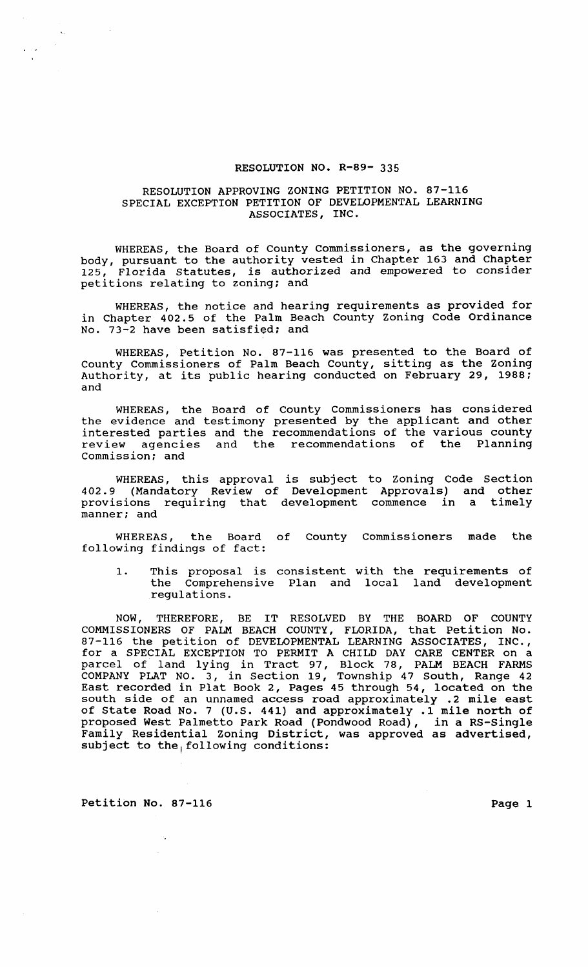## RESOLUTION NO. R-89- 335

## RESOLUTION APPROVING ZONING PETITION NO. 87-116 SPECIAL EXCEPTION PETITION OF DEVELOPMENTAL LEARNING ASSOCIATES, INC.

WHEREAS, the Board of County commissioners, as the governing body, pursuant to the authority vested in Chapter 163 and Chapter Florida Statutes, is authorized and empowered to consider petitions relating to zoning; and

WHEREAS, the notice and hearing requirements as provided for in Chapter 402.5 of the Palm Beach County zoning Code Ordinance No. 73-2 have been satisfied; and

WHEREAS, Petition No. 87-116 was presented to the Board of County Commissioners of Palm Beach County, sitting as the zoning Authority, at its public hearing conducted on February 29, 1988; and

WHEREAS, the Board of County Commissioners has considered the evidence and testimony presented by the applicant and other interested parties and the recommendations of the various county review agencies and the recommendations of the Planning Commission; and

WHEREAS, this approval is subject to Zoning Code Section 402.9 (Mandatory Review of Development Approvals) and other provisions requiring that development commence in a timely manner; and

WHEREAS, the Board of County commissioners made the following findings of fact:

1. This proposal is consistent with the requirements of the Comprehensive Plan and local land development regulations.

NOW, THEREFORE, BE IT RESOLVED BY THE BOARD OF COUNTY COMMISSIONERS OF PALM BEACH COUNTY, FLORIDA, that Petition No. 87-116 the petition of DEVELOPMENTAL LEARNING ASSOCIATES, INC., for a SPECIAL EXCEPTION TO PERMIT A CHILD DAY CARE CENTER on a parcel of land lying in Tract 97, Block 78, PALM BEACH FARMS COMPANY PLAT NO.3, in section 19, Township 47 South, Range 42 East recorded in Plat Book 2, Pages 45 through 54, located on the south side of an unnamed access road approximately .2 mile east of State Road No.7 (U.S. 441) and approximately .1 mile north of proposed West Palmetto Park Road (Pondwood Road), in a RS-Single Family Residential Zoning District, was approved as advertised, subject to the, following conditions:

Petition No. 87-116 Page 1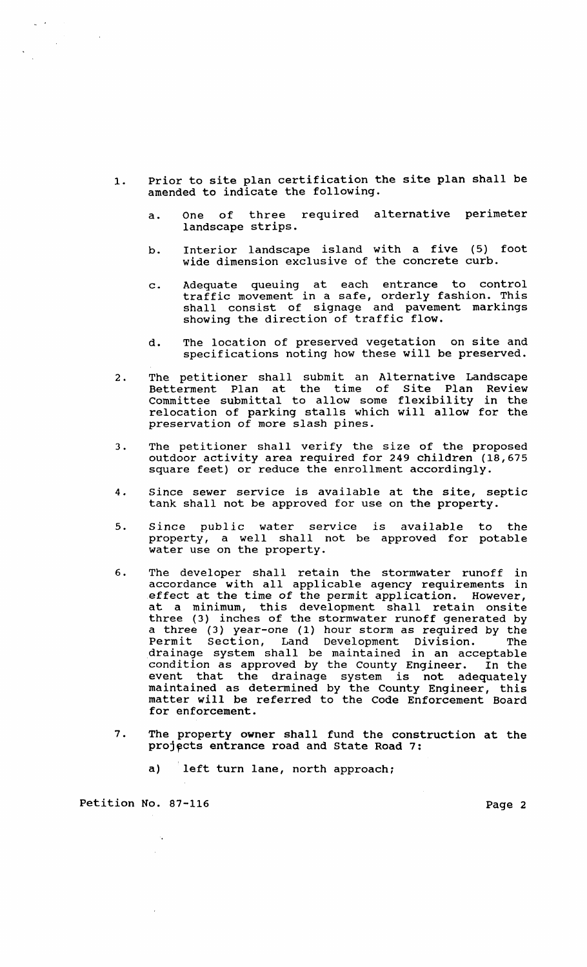- 1. Prior to site plan certification the site plan shall be amended to indicate the following.
	- a. One of three required alternative perimeter landscape strips.
	- b. Interior landscape island with a five (5) foot wide dimension exclusive of the concrete curb.
	- c. Adequate queuing at each entrance to control Adequate queding at tath thriance to control shall consist of signage and pavement markings showing the direction of traffic flow.
	- d. The location of preserved vegetation on site and specifications noting how these will be preserved.
- 2. The petitioner shall submit an Alternative Landscape Betterment Plan at the time of site Plan Review Committee submittal to allow some flexibility in the relocation of parking stalls which will allow for the preservation of more slash *pines.*
- 3. The petitioner shall verify the size of the proposed outdoor activity area *required* for 249 children (18,675 square feet) or reduce the enrollment accordingly.
- *4. since* sewer *service is* available at the site, septic tank shall not be approved for use on the property.
- 5. since public water service is available property, a well shall not be approved for potable water use on the property. the
- 6. The developer shall retain the stormwater runoff in accordance with all applicable agency requirements in effect at the time of the permit application. However, at a minimum, this development shall retain onsite three (3) inches of the stormwater runoff generated by a three (3) year-one (1) hour storm as *required* by the Permit Section, Land Development Division. The drainage system shall be maintained in an acceptable condition as approved by the County Engineer. In the bohardion as approved by the county ingineer. In the maintained as determined by the County Engineer, this matter will be referred to the Code Enforcement Board for enforcement.
- 7. The property owner shall fund the construction at the projects entrance road and State Road 7:
	- a) left turn lane, north approach;

Petition No. 87-116 Page 2

 $\mathcal{A}_\bullet$ 

 $\sim 100$ 

 $\sim$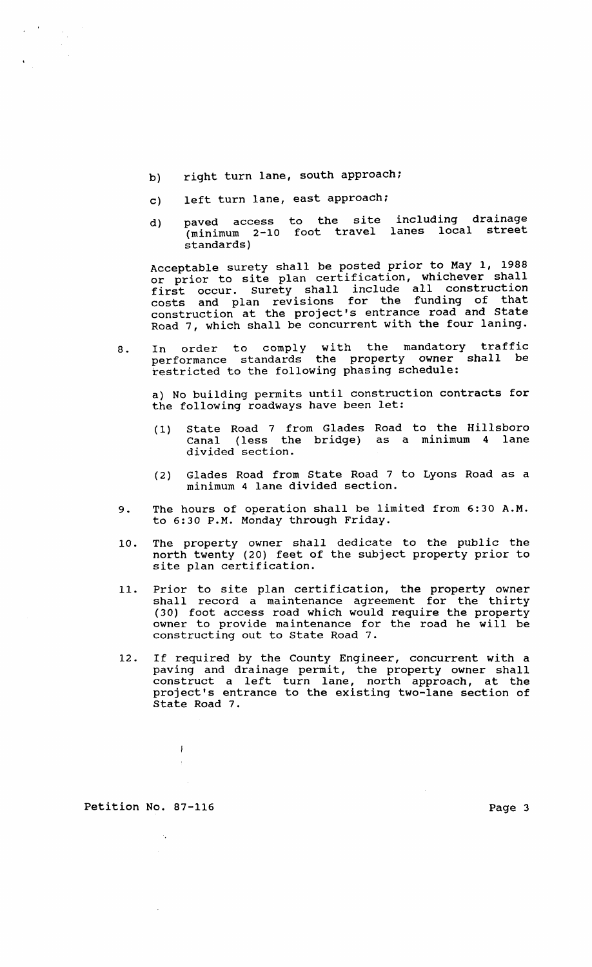- b) right turn lane, south approach;
- c) left turn lane, east approach;

 $\label{eq:2} \frac{1}{\sqrt{2}}\sum_{i=1}^N \frac{1}{2} \sum_{j=1}^N \frac{1}{2} \sum_{j=1}^N \frac{1}{2} \sum_{j=1}^N \frac{1}{2} \sum_{j=1}^N \frac{1}{2} \sum_{j=1}^N \frac{1}{2} \sum_{j=1}^N \frac{1}{2} \sum_{j=1}^N \frac{1}{2} \sum_{j=1}^N \frac{1}{2} \sum_{j=1}^N \frac{1}{2} \sum_{j=1}^N \frac{1}{2} \sum_{j=1}^N \frac{1}{2} \sum_{j=1}^N \frac$ 

d) paved access (minimum 2-10 standards) to the site foot travel including drainage lanes local street

Acceptable surety shall be posted prior to May 1, 1988 or prior to site plan certification, whichever shall first occur. surety shall include all construction costs and plan revisions for the funding of that construction at the project's entrance road and state Road 7, which shall be concurrent with the four laning.

8. In order to comply with the mandatory traffic performance standards the property owner shall be restricted to the following phasing schedule:

a} No building permits until construction contracts for the following roadways have been let:

- (1) state Road 7 from Glades Road to the Hillsboro Canal (less the bridge) as a minimum 4 lane divided section.
- (2) Glades Road from state Road 7 to Lyons Road as a minimum 4 lane divided section.
- 9. The hours of operation shall be limited from 6:30 A.M. to 6:30 P.M. Monday through Friday.
- 10. The property owner shall dedicate to the public the north twenty (20) feet of the subject property prior to site plan certification.
- 11. Prior to site plan certification, the property owner shall record a maintenance agreement for the thirty (30) foot access road which would require the property owner to provide maintenance for the road he will be constructing out to state Road 7.
- 12. If required by the County Engineer, concurrent with a paving and drainage permit, the property owner shall construct a left turn lane, north approach, at the project's entrance to the existing two-lane section of state Road 7.

Petition No. 87-116 Page 3

 $\mathcal{A}_\bullet$ 

 $\mathcal{L}$ 

 $\mathbf{I}$